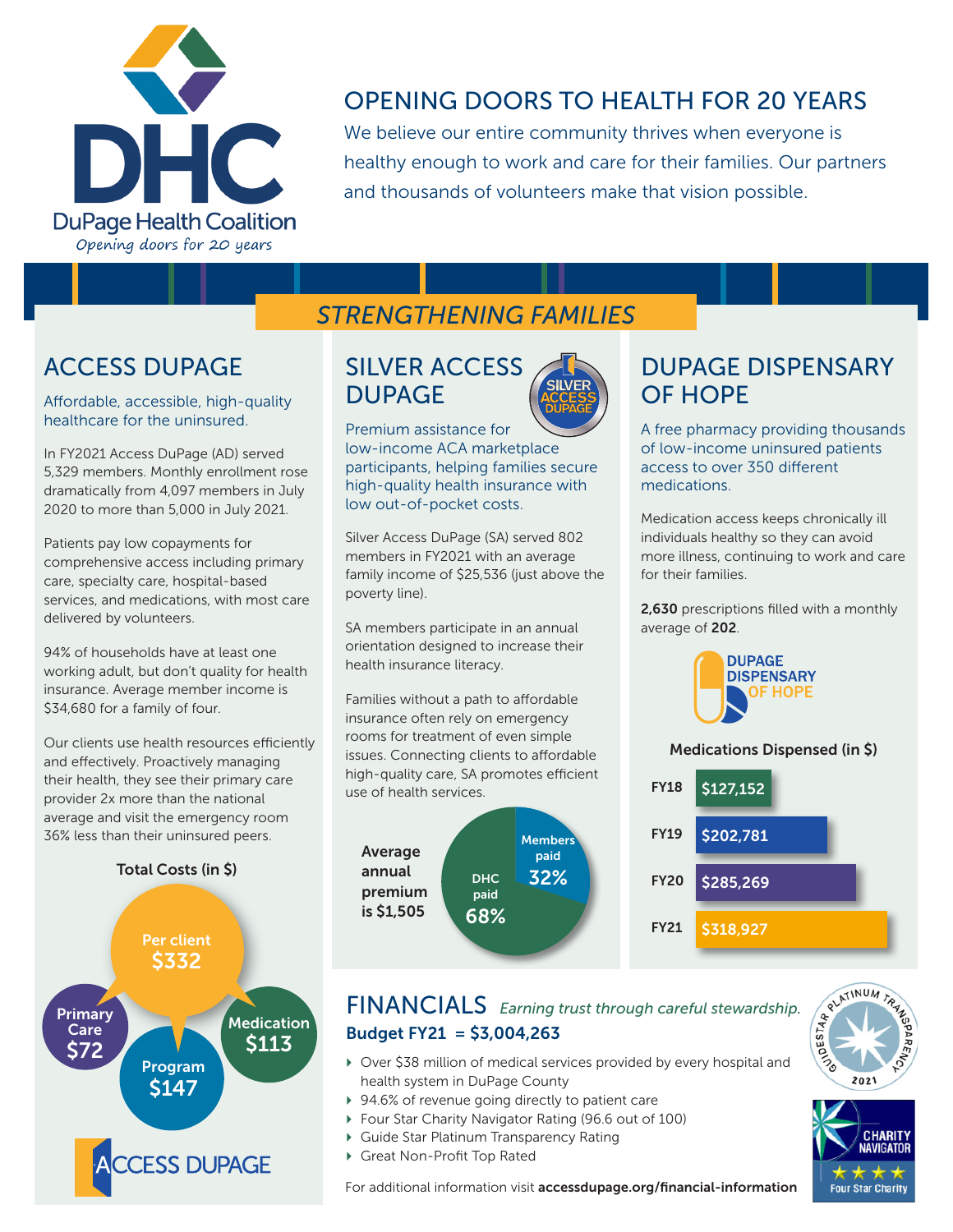

### OPENING DOORS TO HEALTH FOR 20 YEARS

We believe our entire community thrives when everyone is healthy enough to work and care for their families. Our partners and thousands of volunteers make that vision possible.

# *STRENGTHENING FAMILIES*

### ACCESS DUPAGE

Affordable, accessible, high-quality healthcare for the uninsured.

In FY2021 Access DuPage (AD) served 5,329 members. Monthly enrollment rose dramatically from 4,097 members in July 2020 to more than 5,000 in July 2021.

Patients pay low copayments for comprehensive access including primary care, specialty care, hospital-based services, and medications, with most care delivered by volunteers.

94% of households have at least one working adult, but don't quality for health insurance. Average member income is \$34,680 for a family of four.

Our clients use health resources efficiently and effectively. Proactively managing their health, they see their primary care provider 2x more than the national average and visit the emergency room 36% less than their uninsured peers.



#### SILVER ACCESS DUPAGE

Premium assistance for low-income ACA marketplace participants, helping families secure high-quality health insurance with low out-of-pocket costs.

Silver Access DuPage (SA) served 802 members in FY2021 with an average family income of \$25,536 (just above the poverty line).

SA members participate in an annual orientation designed to increase their health insurance literacy.

Families without a path to affordable insurance often rely on emergency rooms for treatment of even simple issues. Connecting clients to affordable high-quality care, SA promotes efficient use of health services.



#### DUPAGE DISPENSARY OF HOPE

A free pharmacy providing thousands of low-income uninsured patients access to over 350 different medications.

Medication access keeps chronically ill individuals healthy so they can avoid more illness, continuing to work and care for their families.

2,630 prescriptions filled with a monthly average of 202.



#### Medications Dispensed (in \$)



#### FINANCIALS *Earning trust through careful stewardship.* Budget FY21 = \$3,004,263

- ▶ Over \$38 million of medical services provided by every hospital and health system in DuPage County
- ▶ 94.6% of revenue going directly to patient care
- ▶ Four Star Charity Navigator Rating (96.6 out of 100)
- 4 Guide Star Platinum Transparency Rating
- 4 Great Non-Profit Top Rated

For additional information visit accessdupage.org/financial-information